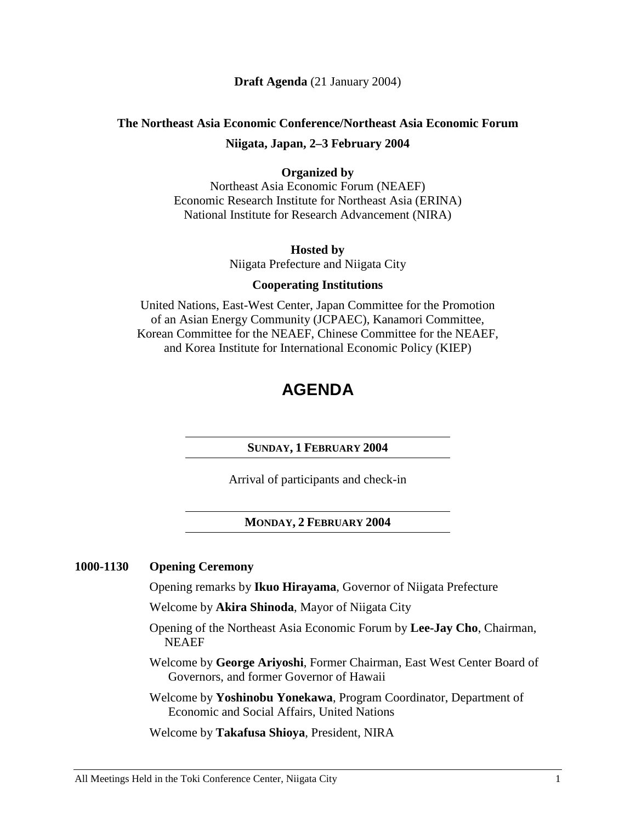## **Draft Agenda** (21 January 2004)

# **The Northeast Asia Economic Conference/Northeast Asia Economic Forum Niigata, Japan, 2–3 February 2004**

## **Organized by**

Northeast Asia Economic Forum (NEAEF) Economic Research Institute for Northeast Asia (ERINA) National Institute for Research Advancement (NIRA)

### **Hosted by**

Niigata Prefecture and Niigata City

## **Cooperating Institutions**

United Nations, East-West Center, Japan Committee for the Promotion of an Asian Energy Community (JCPAEC), Kanamori Committee, Korean Committee for the NEAEF, Chinese Committee for the NEAEF, and Korea Institute for International Economic Policy (KIEP)

# **AGENDA**

#### **SUNDAY, 1 FEBRUARY 2004**

Arrival of participants and check-in

## **MONDAY, 2 FEBRUARY 2004**

#### **1000-1130 Opening Ceremony**

Opening remarks by **Ikuo Hirayama**, Governor of Niigata Prefecture

Welcome by **Akira Shinoda**, Mayor of Niigata City

- Opening of the Northeast Asia Economic Forum by **Lee-Jay Cho**, Chairman, NEAEF
- Welcome by **George Ariyoshi**, Former Chairman, East West Center Board of Governors, and former Governor of Hawaii
- Welcome by **Yoshinobu Yonekawa**, Program Coordinator, Department of Economic and Social Affairs, United Nations

Welcome by **Takafusa Shioya**, President, NIRA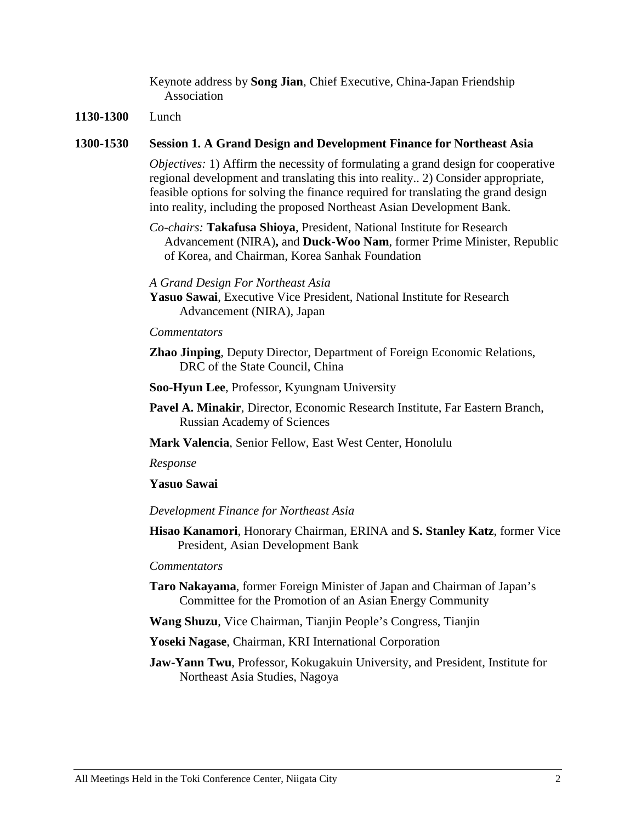Keynote address by **Song Jian**, Chief Executive, China-Japan Friendship Association

### **1130-1300** Lunch

#### **1300-1530 Session 1. A Grand Design and Development Finance for Northeast Asia**

*Objectives:* 1) Affirm the necessity of formulating a grand design for cooperative regional development and translating this into reality.. 2) Consider appropriate, feasible options for solving the finance required for translating the grand design into reality, including the proposed Northeast Asian Development Bank.

*Co-chairs:* **Takafusa Shioya**, President, National Institute for Research Advancement (NIRA)**,** and **Duck-Woo Nam**, former Prime Minister, Republic of Korea, and Chairman, Korea Sanhak Foundation

#### *A Grand Design For Northeast Asia*

**Yasuo Sawai**, Executive Vice President, National Institute for Research Advancement (NIRA), Japan

### *Commentators*

- **Zhao Jinping**, Deputy Director, Department of Foreign Economic Relations, DRC of the State Council, China
- **Soo-Hyun Lee**, Professor, Kyungnam University
- **Pavel A. Minakir**, Director, Economic Research Institute, Far Eastern Branch, Russian Academy of Sciences

**Mark Valencia**, Senior Fellow, East West Center, Honolulu

*Response*

## **Yasuo Sawai**

#### *Development Finance for Northeast Asia*

**Hisao Kanamori**, Honorary Chairman, ERINA and **S. Stanley Katz**, former Vice President, Asian Development Bank

#### *Commentators*

- **Taro Nakayama**, former Foreign Minister of Japan and Chairman of Japan's Committee for the Promotion of an Asian Energy Community
- **Wang Shuzu**, Vice Chairman, Tianjin People's Congress, Tianjin

**Yoseki Nagase**, Chairman, KRI International Corporation

**Jaw-Yann Twu**, Professor, Kokugakuin University, and President, Institute for Northeast Asia Studies, Nagoya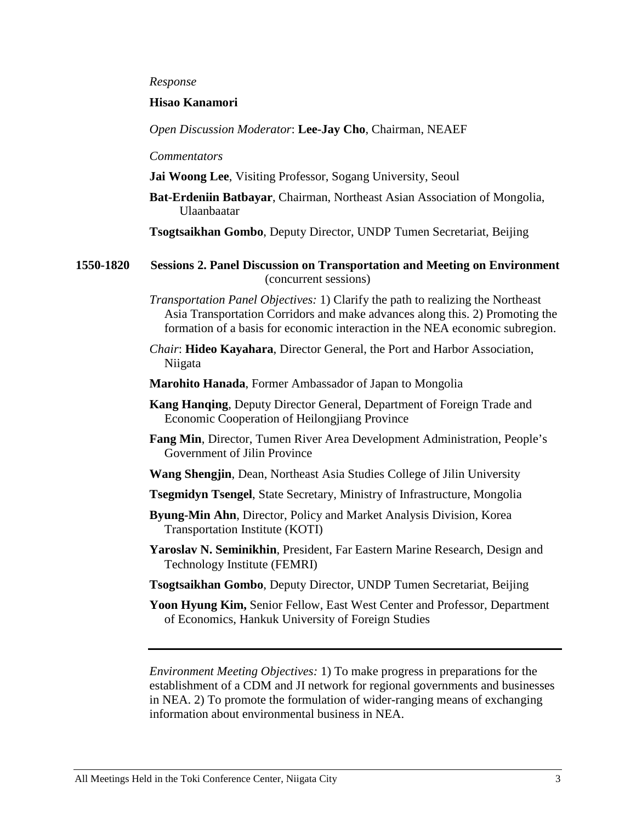#### *Response*

## **Hisao Kanamori**

*Open Discussion Moderator*: **Lee-Jay Cho**, Chairman, NEAEF

#### *Commentators*

|  |  |  |  |  |  | Jai Woong Lee, Visiting Professor, Sogang University, Seoul |  |
|--|--|--|--|--|--|-------------------------------------------------------------|--|
|--|--|--|--|--|--|-------------------------------------------------------------|--|

**Bat-Erdeniin Batbayar**, Chairman, Northeast Asian Association of Mongolia, Ulaanbaatar

**Tsogtsaikhan Gombo**, Deputy Director, UNDP Tumen Secretariat, Beijing

**1550-1820 Sessions 2. Panel Discussion on Transportation and Meeting on Environment**  (concurrent sessions)

- *Transportation Panel Objectives:* 1) Clarify the path to realizing the Northeast Asia Transportation Corridors and make advances along this. 2) Promoting the formation of a basis for economic interaction in the NEA economic subregion.
- *Chair*: **Hideo Kayahara**, Director General, the Port and Harbor Association, Niigata
- **Marohito Hanada**, Former Ambassador of Japan to Mongolia
- **Kang Hanqing**, Deputy Director General, Department of Foreign Trade and Economic Cooperation of Heilongjiang Province
- **Fang Min**, Director, Tumen River Area Development Administration, People's Government of Jilin Province
- **Wang Shengjin**, Dean, Northeast Asia Studies College of Jilin University
- **Tsegmidyn Tsengel**, State Secretary, Ministry of Infrastructure, Mongolia
- **Byung-Min Ahn**, Director, Policy and Market Analysis Division, Korea Transportation Institute (KOTI)
- **Yaroslav N. Seminikhin**, President, Far Eastern Marine Research, Design and Technology Institute (FEMRI)
- **Tsogtsaikhan Gombo**, Deputy Director, UNDP Tumen Secretariat, Beijing
- **Yoon Hyung Kim,** Senior Fellow, East West Center and Professor, Department of Economics, Hankuk University of Foreign Studies

*Environment Meeting Objectives:* 1) To make progress in preparations for the establishment of a CDM and JI network for regional governments and businesses in NEA. 2) To promote the formulation of wider-ranging means of exchanging information about environmental business in NEA.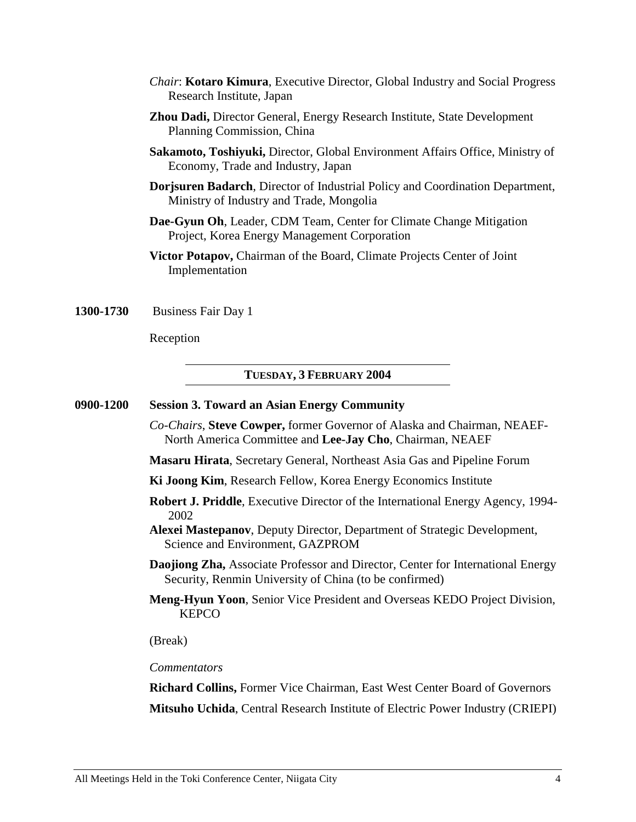- *Chair*: **Kotaro Kimura**, Executive Director, Global Industry and Social Progress Research Institute, Japan
- **Zhou Dadi,** Director General, Energy Research Institute, State Development Planning Commission, China
- **Sakamoto, Toshiyuki,** Director, Global Environment Affairs Office, Ministry of Economy, Trade and Industry, Japan
- **Dorjsuren Badarch**, Director of Industrial Policy and Coordination Department, Ministry of Industry and Trade, Mongolia
- **Dae-Gyun Oh**, Leader, CDM Team, Center for Climate Change Mitigation Project, Korea Energy Management Corporation
- **Victor Potapov,** Chairman of the Board, Climate Projects Center of Joint Implementation

**1300-1730** Business Fair Day 1

Reception

#### **TUESDAY, 3 FEBRUARY 2004**

#### **0900-1200 Session 3. Toward an Asian Energy Community**

*Co-Chairs*, **Steve Cowper,** former Governor of Alaska and Chairman, NEAEF-North America Committee and **Lee-Jay Cho**, Chairman, NEAEF

**Masaru Hirata**, Secretary General, Northeast Asia Gas and Pipeline Forum

- **Ki Joong Kim**, Research Fellow, Korea Energy Economics Institute
- **Robert J. Priddle**, Executive Director of the International Energy Agency, 1994- 2002
- **Alexei Mastepanov**, Deputy Director, Department of Strategic Development, Science and Environment, GAZPROM
- **Daojiong Zha,** Associate Professor and Director, Center for International Energy Security, Renmin University of China (to be confirmed)
- **Meng-Hyun Yoon**, Senior Vice President and Overseas KEDO Project Division, **KEPCO**

(Break)

*Commentators* 

**Richard Collins,** Former Vice Chairman, East West Center Board of Governors **Mitsuho Uchida**, Central Research Institute of Electric Power Industry (CRIEPI)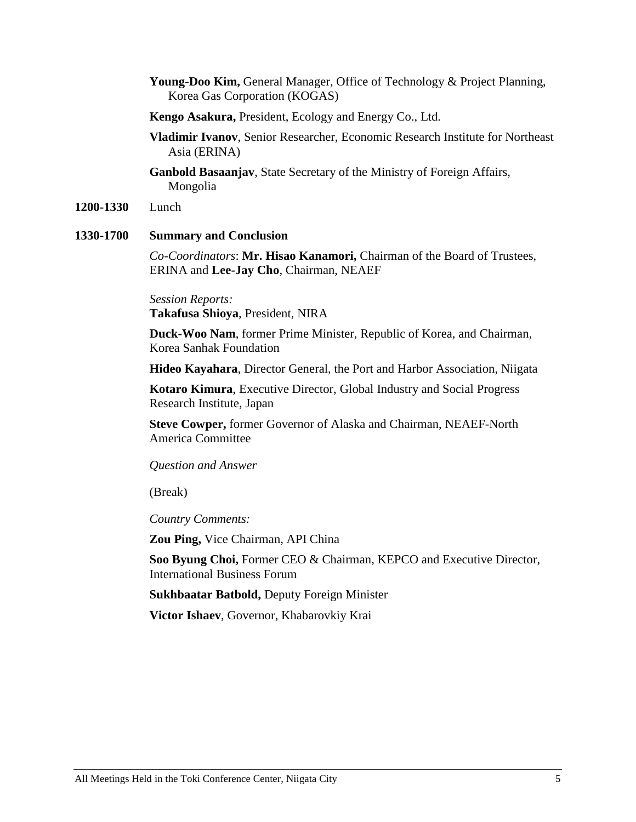- **Young-Doo Kim,** General Manager, Office of Technology & Project Planning, Korea Gas Corporation (KOGAS)
- **Kengo Asakura,** President, Ecology and Energy Co., Ltd.
- **Vladimir Ivanov**, Senior Researcher, Economic Research Institute for Northeast Asia (ERINA)
- **Ganbold Basaanjav**, State Secretary of the Ministry of Foreign Affairs, Mongolia
- **1200-1330** Lunch

## **1330-1700 Summary and Conclusion**

*Co-Coordinators*: **Mr. Hisao Kanamori,** Chairman of the Board of Trustees, ERINA and **Lee-Jay Cho**, Chairman, NEAEF

*Session Reports:*  **Takafusa Shioya**, President, NIRA

**Duck-Woo Nam**, former Prime Minister, Republic of Korea, and Chairman, Korea Sanhak Foundation

**Hideo Kayahara**, Director General, the Port and Harbor Association, Niigata

**Kotaro Kimura**, Executive Director, Global Industry and Social Progress Research Institute, Japan

**Steve Cowper,** former Governor of Alaska and Chairman, NEAEF-North America Committee

### *Question and Answer*

(Break)

*Country Comments:* 

**Zou Ping,** Vice Chairman, API China

**Soo Byung Choi,** Former CEO & Chairman, KEPCO and Executive Director, International Business Forum

**Sukhbaatar Batbold,** Deputy Foreign Minister

**Victor Ishaev**, Governor, Khabarovkiy Krai